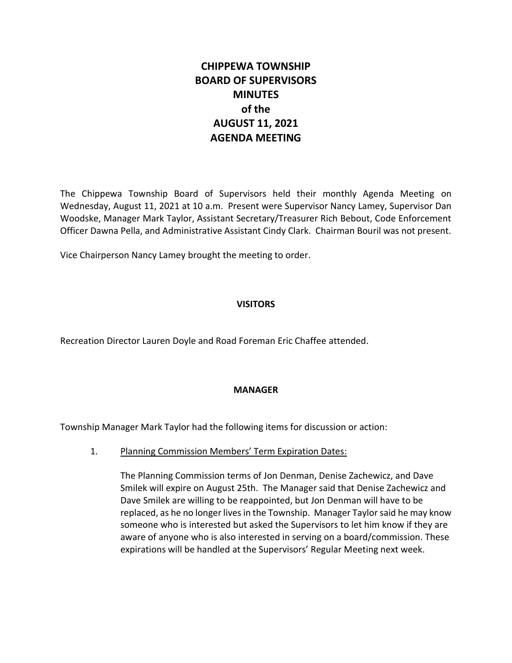# **CHIPPEWA TOWNSHIP BOARD OF SUPERVISORS MINUTES of the AUGUST 11, 2021 AGENDA MEETING**

The Chippewa Township Board of Supervisors held their monthly Agenda Meeting on Wednesday, August 11, 2021 at 10 a.m. Present were Supervisor Nancy Lamey, Supervisor Dan Woodske, Manager Mark Taylor, Assistant Secretary/Treasurer Rich Bebout, Code Enforcement Officer Dawna Pella, and Administrative Assistant Cindy Clark. Chairman Bouril was not present.

Vice Chairperson Nancy Lamey brought the meeting to order.

## **VISITORS**

Recreation Director Lauren Doyle and Road Foreman Eric Chaffee attended.

## **MANAGER**

Township Manager Mark Taylor had the following items for discussion or action:

1. Planning Commission Members' Term Expiration Dates:

The Planning Commission terms of Jon Denman, Denise Zachewicz, and Dave Smilek will expire on August 25th. The Manager said that Denise Zachewicz and Dave Smilek are willing to be reappointed, but Jon Denman will have to be replaced, as he no longer lives in the Township. Manager Taylor said he may know someone who is interested but asked the Supervisors to let him know if they are aware of anyone who is also interested in serving on a board/commission. These expirations will be handled at the Supervisors' Regular Meeting next week.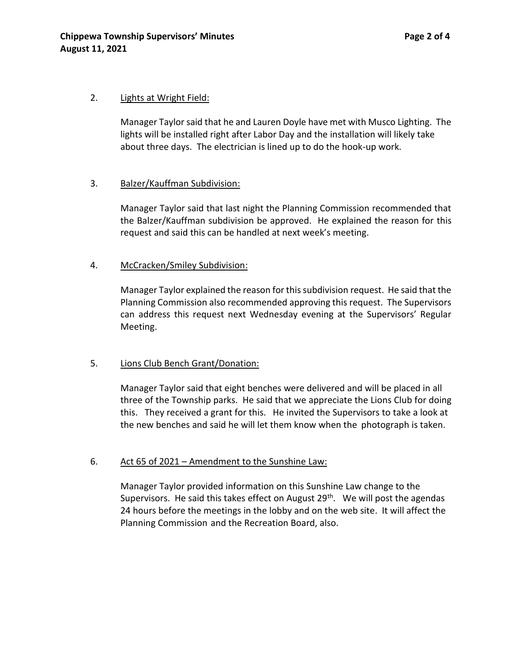#### 2. Lights at Wright Field:

Manager Taylor said that he and Lauren Doyle have met with Musco Lighting. The lights will be installed right after Labor Day and the installation will likely take about three days. The electrician is lined up to do the hook-up work.

#### 3. Balzer/Kauffman Subdivision:

Manager Taylor said that last night the Planning Commission recommended that the Balzer/Kauffman subdivision be approved. He explained the reason for this request and said this can be handled at next week's meeting.

#### 4. McCracken/Smiley Subdivision:

Manager Taylor explained the reason for this subdivision request. He said that the Planning Commission also recommended approving this request. The Supervisors can address this request next Wednesday evening at the Supervisors' Regular Meeting.

## 5. Lions Club Bench Grant/Donation:

Manager Taylor said that eight benches were delivered and will be placed in all three of the Township parks. He said that we appreciate the Lions Club for doing this. They received a grant for this. He invited the Supervisors to take a look at the new benches and said he will let them know when the photograph is taken.

## 6. Act 65 of 2021 – Amendment to the Sunshine Law:

Manager Taylor provided information on this Sunshine Law change to the Supervisors. He said this takes effect on August  $29<sup>th</sup>$ . We will post the agendas 24 hours before the meetings in the lobby and on the web site. It will affect the Planning Commission and the Recreation Board, also.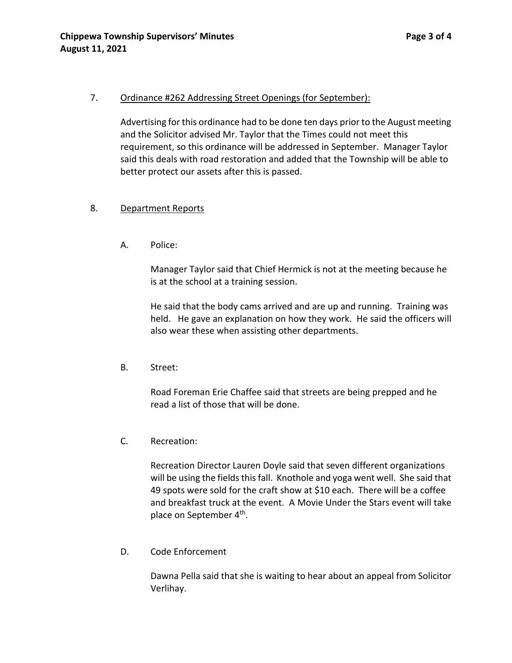#### 7. Ordinance #262 Addressing Street Openings (for September):

Advertising for this ordinance had to be done ten days prior to the August meeting and the Solicitor advised Mr. Taylor that the Times could not meet this requirement, so this ordinance will be addressed in September. Manager Taylor said this deals with road restoration and added that the Township will be able to better protect our assets after this is passed.

#### 8. Department Reports

A. Police:

Manager Taylor said that Chief Hermick is not at the meeting because he is at the school at a training session.

He said that the body cams arrived and are up and running. Training was held. He gave an explanation on how they work. He said the officers will also wear these when assisting other departments.

B. Street:

Road Foreman Erie Chaffee said that streets are being prepped and he read a list of those that will be done.

C. Recreation:

Recreation Director Lauren Doyle said that seven different organizations will be using the fields this fall. Knothole and yoga went well. She said that 49 spots were sold for the craft show at \$10 each. There will be a coffee and breakfast truck at the event. A Movie Under the Stars event will take place on September 4<sup>th</sup>.

D. Code Enforcement

Dawna Pella said that she is waiting to hear about an appeal from Solicitor Verlihay.